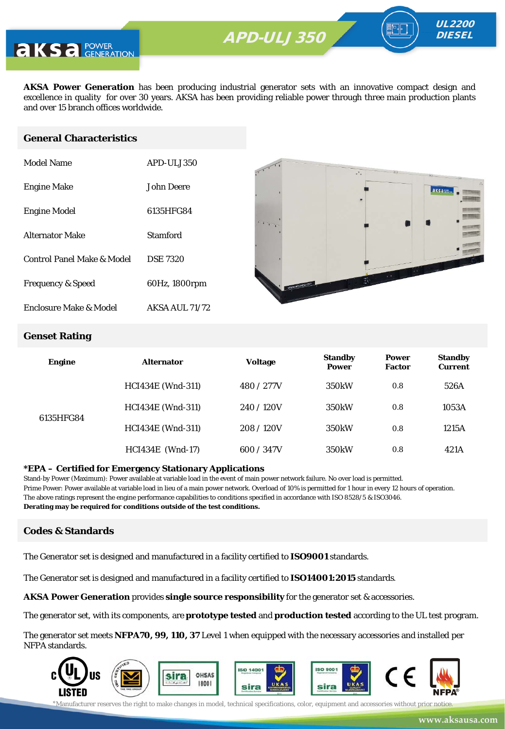

**AKSA Power Generation** has been producing industrial generator sets with an innovative compact design and excellence in quality for over 30 years. AKSA has been providing reliable power through three main production plants and over 15 branch offices worldwide.

#### **General Characteristics**

| Model Name                   | APD-ULJ350            |
|------------------------------|-----------------------|
| <b>Engine Make</b>           | John Deere            |
| <b>Engine Model</b>          | 6135HFG84             |
| <b>Alternator Make</b>       | Stamford              |
| Control Panel Make & Model   | <b>DSE 7320</b>       |
| <b>Frequency &amp; Speed</b> | 60Hz, 1800rpm         |
| Enclosure Make & Model       | <b>AKSA AUL 71/72</b> |



UL2200 **DIESEL** 

#### **Genset Rating**

| <b>Engine</b> | <b>Alternator</b>        | <b>Voltage</b> | <b>Standby</b><br><b>Power</b> | <b>Power</b><br><b>Factor</b> | <b>Standby</b><br><b>Current</b> |
|---------------|--------------------------|----------------|--------------------------------|-------------------------------|----------------------------------|
| 6135HFG84     | <b>HCI434E</b> (Wnd-311) | 480 / 277V     | 350 <sub>k</sub> W             | 0.8                           | 526A                             |
|               | <b>HCI434E</b> (Wnd-311) | 240/120V       | 350 <sub>k</sub> W             | 0.8                           | 1053A                            |
|               | <b>HCI434E</b> (Wnd-311) | 208/120V       | 350 <sub>k</sub> W             | 0.8                           | 1215A                            |
|               | <b>HCI434E</b> (Wnd-17)  | 600 / 347V     | 350 <sub>k</sub> W             | 0.8                           | 421A                             |

#### **\*EPA – Certified for Emergency Stationary Applications**

Stand-by Power (Maximum): Power available at variable load in the event of main power network failure. No over load is permitted. Prime Power: Power available at variable load in lieu of a main power network. Overload of 10% is permitted for 1 hour in every 12 hours of operation. The above ratings represent the engine performance capabilities to conditions specified in accordance with ISO 8528/5 & ISO3046. **Derating may be required for conditions outside of the test conditions.**

#### **Codes & Standards**

The Generator set is designed and manufactured in a facility certified to **ISO9001** standards.

The Generator set is designed and manufactured in a facility certified to **ISO14001:2015** standards.

**AKSA Power Generation** provides **single source responsibility** for the generator set & accessories.

The generator set, with its components, are **prototype tested** and **production tested** according to the UL test program.

The generator set meets **NFPA70, 99, 110, 37** Level 1 when equipped with the necessary accessories and installed per NFPA standards.

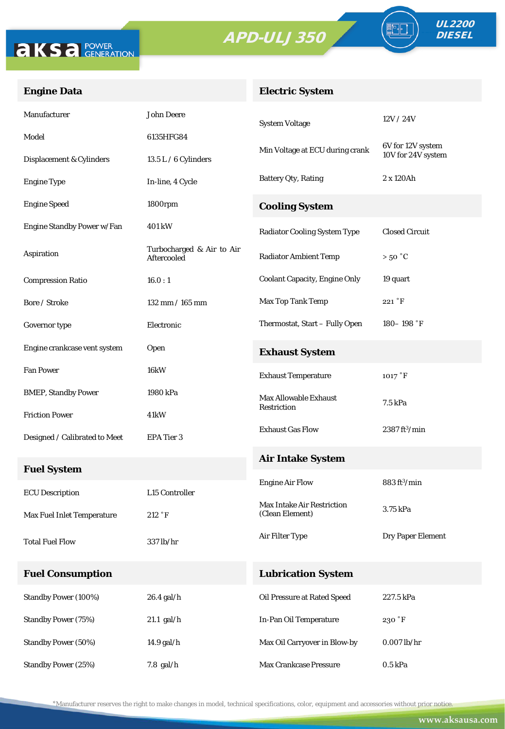



FO

#### **Engine Data**

### **Electric System**

| Manufacturer                  | <b>John Deere</b>                        | <b>System Voltage</b>                                | 12V/24V                        |
|-------------------------------|------------------------------------------|------------------------------------------------------|--------------------------------|
| Model                         | 6135HFG84                                |                                                      | 6V for 12V system              |
| Displacement & Cylinders      | $13.5 L / 6$ Cylinders                   | Min Voltage at ECU during crank                      | 10V for 24V system             |
| <b>Engine Type</b>            | In-line, 4 Cycle                         | <b>Battery Qty, Rating</b>                           | 2 x 120Ah                      |
| <b>Engine Speed</b>           | 1800rpm                                  | <b>Cooling System</b>                                |                                |
| Engine Standby Power w/Fan    | 401 kW                                   | <b>Radiator Cooling System Type</b>                  | <b>Closed Circuit</b>          |
| Aspiration                    | Turbocharged & Air to Air<br>Aftercooled | <b>Radiator Ambient Temp</b>                         | $>50\degree C$                 |
| <b>Compression Ratio</b>      | 16.0:1                                   | <b>Coolant Capacity, Engine Only</b>                 | 19 quart                       |
| Bore / Stroke                 | 132 mm / 165 mm                          | Max Top Tank Temp                                    | 221 °F                         |
| Governor type                 | Electronic                               | Thermostat, Start - Fully Open                       | $180 - 198$ °F                 |
| Engine crankcase vent system  | <b>Open</b>                              | <b>Exhaust System</b>                                |                                |
| <b>Fan Power</b>              | 16kW                                     | <b>Exhaust Temperature</b>                           | 1017 °F                        |
| <b>BMEP, Standby Power</b>    | 1980 kPa                                 | <b>Max Allowable Exhaust</b>                         | 7.5 kPa                        |
| <b>Friction Power</b>         | 41kW                                     | Restriction                                          |                                |
| Designed / Calibrated to Meet | EPA Tier 3                               | <b>Exhaust Gas Flow</b>                              | $2387 \text{ ft}^3/\text{min}$ |
| <b>Fuel System</b>            |                                          | <b>Air Intake System</b>                             |                                |
| <b>ECU</b> Description        | L15 Controller                           | <b>Engine Air Flow</b>                               | $883 \text{ ft}^3/\text{min}$  |
| Max Fuel Inlet Temperature    | 212 °F                                   | <b>Max Intake Air Restriction</b><br>(Clean Element) | 3.75 kPa                       |
| <b>Total Fuel Flow</b>        | 337 lb/hr                                | Air Filter Type                                      | Dry Paper Element              |
| <b>Fuel Consumption</b>       |                                          | <b>Lubrication System</b>                            |                                |
| <b>Standby Power (100%)</b>   | 26.4 gal/h                               | Oil Pressure at Rated Speed                          | 227.5 kPa                      |
| <b>Standby Power (75%)</b>    | $21.1$ gal/h                             | In-Pan Oil Temperature                               | 230 °F                         |
| <b>Standby Power (50%)</b>    | 14.9 gal/h                               | Max Oil Carryover in Blow-by                         | $0.007$ lb/hr                  |
| <b>Standby Power (25%)</b>    | $7.8$ gal/h                              | Max Crankcase Pressure                               | $0.5$ kPa                      |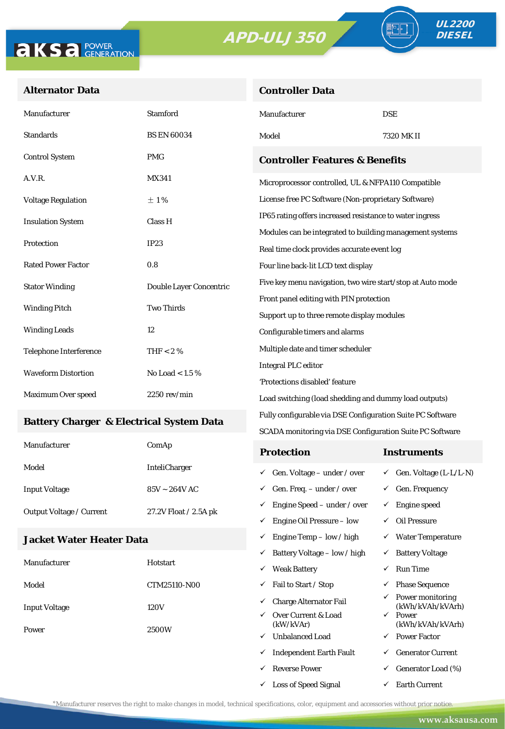**Controller Data**





#### **Alternator Data**

| Manufacturer                                    | <b>Stamford</b>         | Manufacturer                                               | <b>DSE</b>                              |  |
|-------------------------------------------------|-------------------------|------------------------------------------------------------|-----------------------------------------|--|
| <b>Standards</b>                                | <b>BS EN 60034</b>      | Model                                                      | 7320 MK II                              |  |
| <b>Control System</b>                           | <b>PMG</b>              | <b>Controller Features &amp; Benefits</b>                  |                                         |  |
| A.V.R.                                          | <b>MX341</b>            | Microprocessor controlled, UL & NFPA110 Compatible         |                                         |  |
| <b>Voltage Regulation</b>                       | ±1%                     | License free PC Software (Non-proprietary Software)        |                                         |  |
| <b>Insulation System</b>                        | Class H                 | IP65 rating offers increased resistance to water ingress   |                                         |  |
|                                                 |                         | Modules can be integrated to building management systems   |                                         |  |
| Protection<br>IP23                              |                         | Real time clock provides accurate event log                |                                         |  |
| <b>Rated Power Factor</b>                       | 0.8                     | Four line back-lit LCD text display                        |                                         |  |
| <b>Stator Winding</b>                           | Double Layer Concentric | Five key menu navigation, two wire start/stop at Auto mode |                                         |  |
|                                                 |                         |                                                            | Front panel editing with PIN protection |  |
| <b>Winding Pitch</b>                            | <b>Two Thirds</b>       | Support up to three remote display modules                 |                                         |  |
| <b>Winding Leads</b>                            | 12                      | Configurable timers and alarms                             |                                         |  |
| <b>Telephone Interference</b>                   | THF < 2 $%$             | Multiple date and timer scheduler                          |                                         |  |
| <b>Waveform Distortion</b><br>No Load < $1.5\%$ |                         | <b>Integral PLC editor</b>                                 |                                         |  |
|                                                 |                         | 'Protections disabled' feature                             |                                         |  |
| Maximum Over speed                              | $2250$ rev/min          | Load switching (load shedding and dummy load outputs)      |                                         |  |

#### **Battery Charger & Electrical System Data**

| Manufacturer                    | ComAp                 | <b>Protection</b>                        | Instruments                         |
|---------------------------------|-----------------------|------------------------------------------|-------------------------------------|
| Model                           | <b>InteliCharger</b>  | $\checkmark$ Gen. Voltage – under / over | $\checkmark$ Gen. Voltage (L-L/L-N) |
| <b>Input Voltage</b>            | $85V \sim 264V$ AC    | $\checkmark$ Gen. Freq. – under / over   | $\checkmark$ Gen. Frequency         |
| <b>Output Voltage / Current</b> | 27.2V Float / 2.5A pk | $\checkmark$ Engine Speed – under / over | Engine speed                        |
|                                 |                       | Engine Oil Pressure – low<br>✓           | Oil Pressure                        |

Fully configurable via DSE Configuration Suite PC Software SCADA monitoring via DSE Configuration Suite PC Software

 $\checkmark$  Engine Temp – low / high  $\checkmark$  Water Temperature

 $\checkmark$  Loss of Speed Signal  $\checkmark$  Earth Current

#### **Jacket Water Heater Data**

|                      |              | Battery Voltage – low / high<br>$\checkmark$     | ✓            | <b>Battery Voltage</b>               |
|----------------------|--------------|--------------------------------------------------|--------------|--------------------------------------|
| Manufacturer         | Hotstart     | <b>Weak Battery</b><br>$\checkmark$              | ✓            | <b>Run Time</b>                      |
| Model                | CTM25110-N00 | Fail to Start / Stop<br>✓                        | ✓            | <b>Phase Sequence</b>                |
| <b>Input Voltage</b> | 120V         | <b>Charge Alternator Fail</b><br>✓               | $\checkmark$ | Power monitoring<br>(kWh/kVAh/kVArh) |
| Power                |              | Over Current & Load<br>$\checkmark$<br>(kW/kVAr) | $\checkmark$ | Power<br>(kWh/kVAh/kVArh)            |
|                      | 2500W        | <b>Unbalanced Load</b><br>$\checkmark$           | $\checkmark$ | <b>Power Factor</b>                  |
|                      |              | <b>Independent Earth Fault</b><br>✓              | ✓            | <b>Generator Current</b>             |
|                      |              | <b>Reverse Power</b><br>$\checkmark$             | $\checkmark$ | Generator Load (%)                   |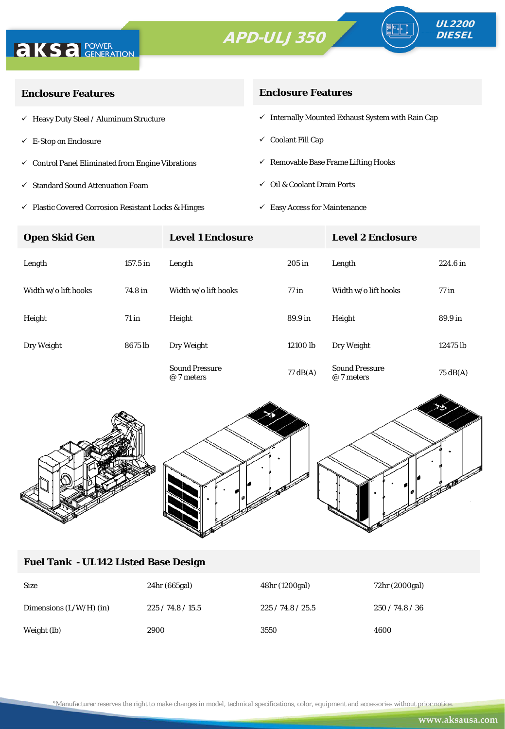



| <b>Enclosure Features</b>                                    | <b>Enclosure Features</b>                                    |  |  |
|--------------------------------------------------------------|--------------------------------------------------------------|--|--|
| $\checkmark$ Heavy Duty Steel / Aluminum Structure           | $\checkmark$ Internally Mounted Exhaust System with Rain Cap |  |  |
| $\checkmark$ E-Stop on Enclosure                             | $\checkmark$ Coolant Fill Cap                                |  |  |
| $\checkmark$ Control Panel Eliminated from Engine Vibrations | $\checkmark$ Removable Base Frame Lifting Hooks              |  |  |
| $\checkmark$ Standard Sound Attenuation Foam                 | $\checkmark$ Oil & Coolant Drain Ports                       |  |  |
|                                                              |                                                              |  |  |

- $\checkmark$ Plastic Covered Corrosion Resistant Locks & Hinges
- $\checkmark$  Easy Access for Maintenance

| <b>Open Skid Gen</b> |            | <b>Level 1 Enclosure</b>            |                    | <b>Level 2 Enclosure</b>            |                    |
|----------------------|------------|-------------------------------------|--------------------|-------------------------------------|--------------------|
| Length               | $157.5$ in | Length                              | $205$ in           | Length                              | 224.6 in           |
| Width w/o lift hooks | 74.8 in    | Width w/o lift hooks                | $77$ in            | Width w/o lift hooks                | $77$ in            |
| Height               | $71$ in    | Height                              | 89.9 in            | Height                              | 89.9 in            |
| Dry Weight           | 8675 lb    | Dry Weight                          | 12100 lb           | Dry Weight                          | 12475 lb           |
|                      |            | <b>Sound Pressure</b><br>@ 7 meters | $77 \text{ dB}(A)$ | <b>Sound Pressure</b><br>@ 7 meters | $75 \text{ dB}(A)$ |



### **Fuel Tank - UL142 Listed Base Design**

| <b>Size</b>               | 24hr (665gal) | 48hr (1200gal) | 72hr (2000gal) |
|---------------------------|---------------|----------------|----------------|
| Dimensions $(L/W/H)$ (in) | 225/74.8/15.5 | 225/74.8/25.5  | 250/74.8/36    |
| Weight (lb)               | 2900          | 3550           | 4600           |